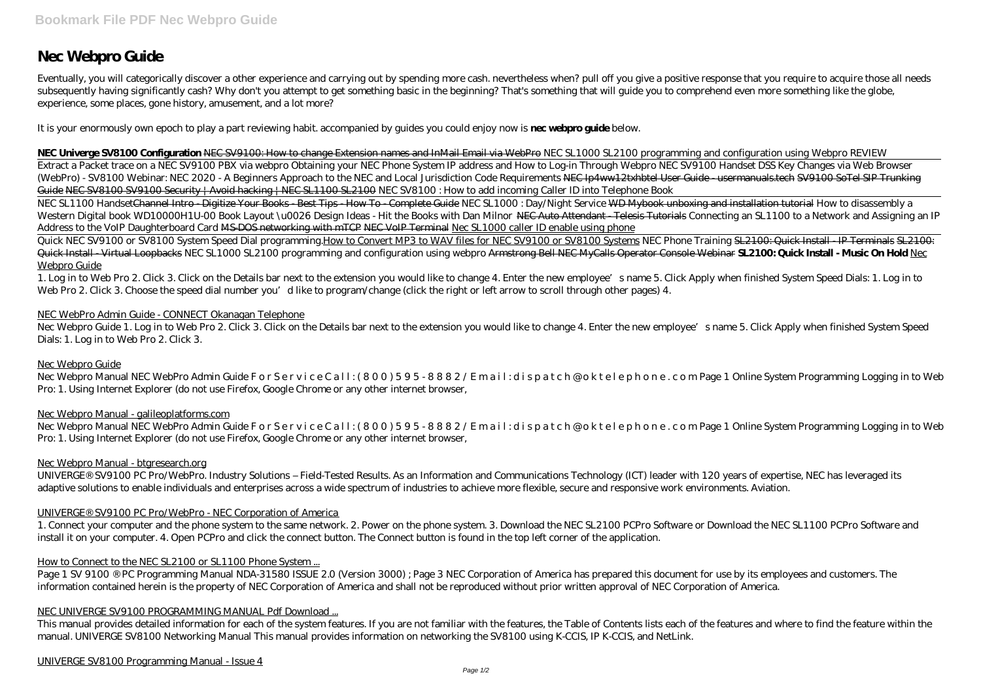# **Nec Webpro Guide**

Eventually, you will categorically discover a other experience and carrying out by spending more cash. nevertheless when? pull off you give a positive response that you require to acquire those all needs subsequently having significantly cash? Why don't you attempt to get something basic in the beginning? That's something that will guide you to comprehend even more something like the globe, experience, some places, gone history, amusement, and a lot more?

**NEC Univerge SV8100 Configuration** NEC SV9100: How to change Extension names and InMail Email via WebPro *NEC SL1000 SL2100 programming and configuration using Webpro REVIEW* Extract a Packet trace on a NEC SV9100 PBX via webpro Obtaining your NEC Phone System IP address and How to Log-in Through Webpro NEC SV9100 Handset DSS Key Changes via Web Browser (WebPro) - SV8100 *Webinar: NEC 2020 - A Beginners Approach to the NEC and Local Jurisdiction Code Requirements* NEC Ip4ww12txhbtel User Guide - usermanuals.tech SV9100 SoTel SIP Trunking Guide NEC SV8100 SV9100 Security | Avoid hacking | NEC SL1100 SL2100 NEC SV8100 : How to add incoming Caller ID into Telephone Book

It is your enormously own epoch to play a part reviewing habit. accompanied by guides you could enjoy now is **nec webpro guide** below.

Quick NEC SV9100 or SV8100 System Speed Dial programming.How to Convert MP3 to WAV files for NEC SV9100 or SV8100 Systems NEC Phone Training SL2100: Quick Install - IP Terminals SL2100: Quick Install - Virtual Loopbacks *NEC SL1000 SL2100 programming and configuration using webpro* Armstrong Bell NEC MyCalls Operator Console Webinar **SL2100: Quick Install - Music On Hold** Nec Webpro Guide

1. Log in to Web Pro 2. Click 3. Click on the Details bar next to the extension you would like to change 4. Enter the new employee's name 5. Click Apply when finished System Speed Dials: 1. Log in to Web Pro 2. Click 3. Choose the speed dial number you'd like to program/change (click the right or left arrow to scroll through other pages) 4.

Nec Webpro Guide 1. Log in to Web Pro 2. Click 3. Click on the Details bar next to the extension you would like to change 4. Enter the new employee's name 5. Click Apply when finished System Speed Dials: 1. Log in to Web Pro 2. Click 3.

NEC SL1100 HandsetChannel Intro - Digitize Your Books - Best Tips - How To - Complete Guide *NEC SL1000 : Day/Night Service* WD Mybook unboxing and installation tutorial *How to disassembly a* Western Digital book WD10000H1U-00 Book Layout\u0026 Design Ideas - Hit the Books with Dan Milnor NEC Auto Attendant Telesis Tutorials Connecting an SL1100 to a Network and Assigning an IP *Address to the VoIP Daughterboard Card* MS-DOS networking with mTCP NEC VoIP Terminal Nec SL1000 caller ID enable using phone

Nec Webpro Manual NEC WebPro Admin Guide For Service Call: (800) 595-8882/Email: dispatch@oktelephone.com Page 1 Online System Programming Logging in to Web Pro: 1. Using Internet Explorer (do not use Firefox, Google Chrome or any other internet browser,

Nec Webpro Manual NEC WebPro Admin Guide For Service Call: (800) 595-8882/Email: dispatch@oktelephone.com Page 1 Online System Programming Logging in to Web Pro: 1. Using Internet Explorer (do not use Firefox, Google Chrome or any other internet browser,

Page 1 SV 9100 ® PC Programming Manual NDA-31580 ISSUE 2.0 (Version 3000); Page 3 NEC Corporation of America has prepared this document for use by its employees and customers. The information contained herein is the property of NEC Corporation of America and shall not be reproduced without prior written approval of NEC Corporation of America.

### NEC WebPro Admin Guide - CONNECT Okanagan Telephone

### Nec Webpro Guide

### Nec Webpro Manual - galileoplatforms.com

### Nec Webpro Manual - btgresearch.org

UNIVERGE® SV9100 PC Pro/WebPro. Industry Solutions – Field-Tested Results. As an Information and Communications Technology (ICT) leader with 120 years of expertise, NEC has leveraged its adaptive solutions to enable individuals and enterprises across a wide spectrum of industries to achieve more flexible, secure and responsive work environments. Aviation.

### UNIVERGE® SV9100 PC Pro/WebPro - NEC Corporation of America

1. Connect your computer and the phone system to the same network. 2. Power on the phone system. 3. Download the NEC SL2100 PCPro Software or Download the NEC SL1100 PCPro Software and install it on your computer. 4. Open PCPro and click the connect button. The Connect button is found in the top left corner of the application.

### How to Connect to the NEC SL2100 or SL1100 Phone System...

### NEC UNIVERGE SV9100 PROGRAMMING MANUAL Pdf Download ...

This manual provides detailed information for each of the system features. If you are not familiar with the features, the Table of Contents lists each of the features and where to find the feature within the manual. UNIVERGE SV8100 Networking Manual This manual provides information on networking the SV8100 using K-CCIS, IP K-CCIS, and NetLink.

UNIVERGE SV8100 Programming Manual - Issue 4